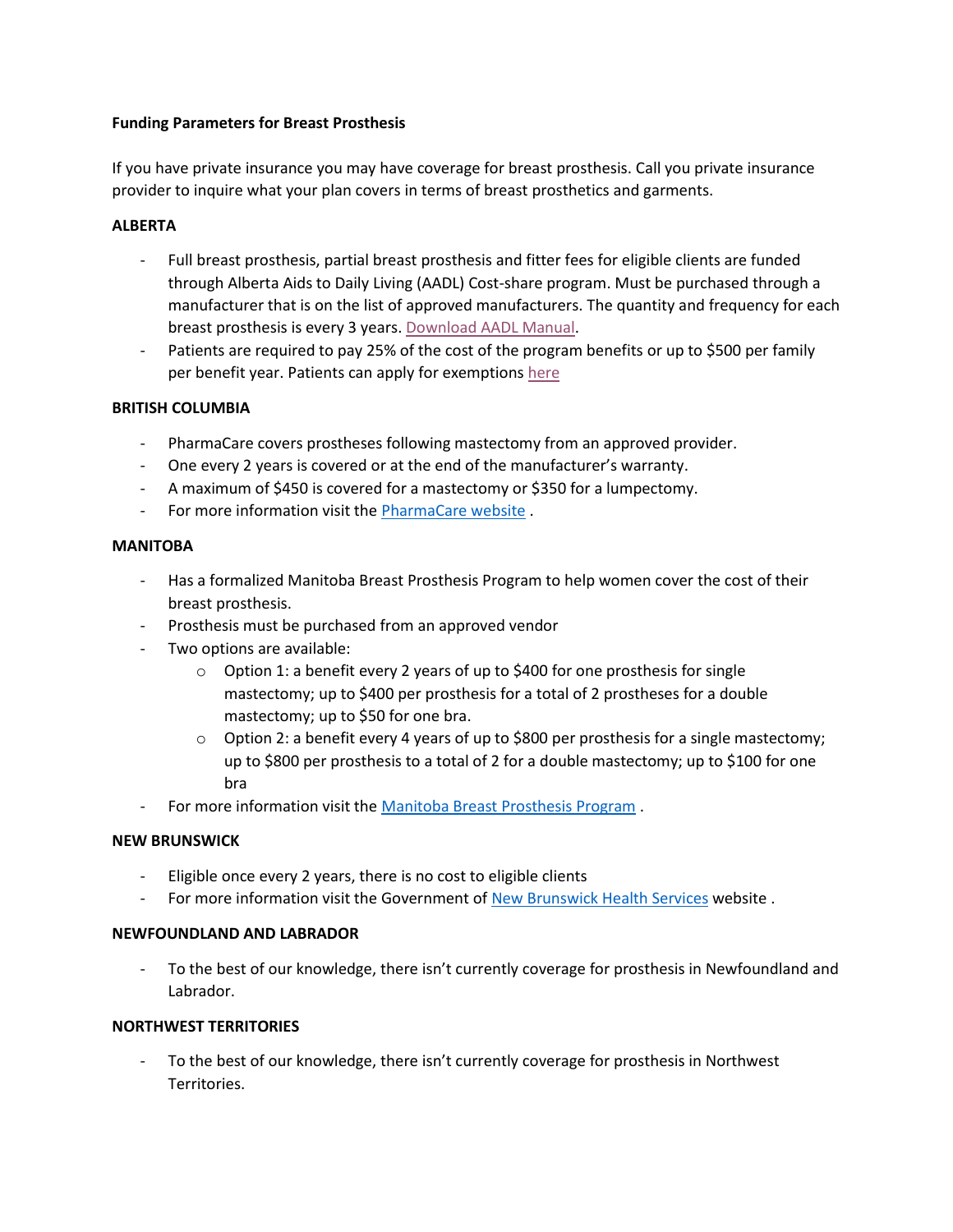### **Funding Parameters for Breast Prosthesis**

If you have private insurance you may have coverage for breast prosthesis. Call you private insurance provider to inquire what your plan covers in terms of breast prosthetics and garments.

# **ALBERTA**

- Full breast prosthesis, partial breast prosthesis and fitter fees for eligible clients are funded through Alberta Aids to Daily Living (AADL) Cost-share program. Must be purchased through a manufacturer that is on the list of approved manufacturers. The quantity and frequency for each breast prosthesis is every 3 years. [Download AADL Manual.](https://open.alberta.ca/publications/aadl-program-manual-d)
- Patients are required to pay 25% of the cost of the program benefits or up to \$500 per family per benefit year. Patients can apply for exemptions [here](http://www.health.alberta.ca/services/AADL-cost-share.html)

# **BRITISH COLUMBIA**

- PharmaCare covers prostheses following mastectomy from an approved provider.
- One every 2 years is covered or at the end of the manufacturer's warranty.
- A maximum of \$450 is covered for a mastectomy or \$350 for a lumpectomy.
- For more information visit the [PharmaCare website](https://www2.gov.bc.ca/assets/gov/health/health-drug-coverage/pharmacare/p_oinfosheet.pdf) .

#### **MANITOBA**

- Has a formalized Manitoba Breast Prosthesis Program to help women cover the cost of their breast prosthesis.
- Prosthesis must be purchased from an approved vendor
- Two options are available:
	- o Option 1: a benefit every 2 years of up to \$400 for one prosthesis for single mastectomy; up to \$400 per prosthesis for a total of 2 prostheses for a double mastectomy; up to \$50 for one bra.
	- $\circ$  Option 2: a benefit every 4 years of up to \$800 per prosthesis for a single mastectomy; up to \$800 per prosthesis to a total of 2 for a double mastectomy; up to \$100 for one bra
- For more information visit the [Manitoba Breast Prosthesis Program](file:///C:/Users/Jgordon/AppData/Local/Microsoft/Windows/Temporary%20Internet%20Files/Content.Outlook/5AC1VXR2/-%09http:/www.cancercare.mb.ca/home/patients_and_family/patient_and_family_support_services/manitoba_breast_prosthesis_program/) .

### **NEW BRUNSWICK**

- Eligible once every 2 years, there is no cost to eligible clients
- For more information visit the Government of [New Brunswick Health Services](file:///C:/Users/Jgordon/AppData/Local/Microsoft/Windows/Temporary%20Internet%20Files/Content.Outlook/5AC1VXR2/-%09http:/www2.gnb.ca/content/gnb/en/services/services_renderer.8116.Health_Services_Prosthetic_Program_.html) website.

### **NEWFOUNDLAND AND LABRADOR**

To the best of our knowledge, there isn't currently coverage for prosthesis in Newfoundland and Labrador.

# **NORTHWEST TERRITORIES**

To the best of our knowledge, there isn't currently coverage for prosthesis in Northwest Territories.